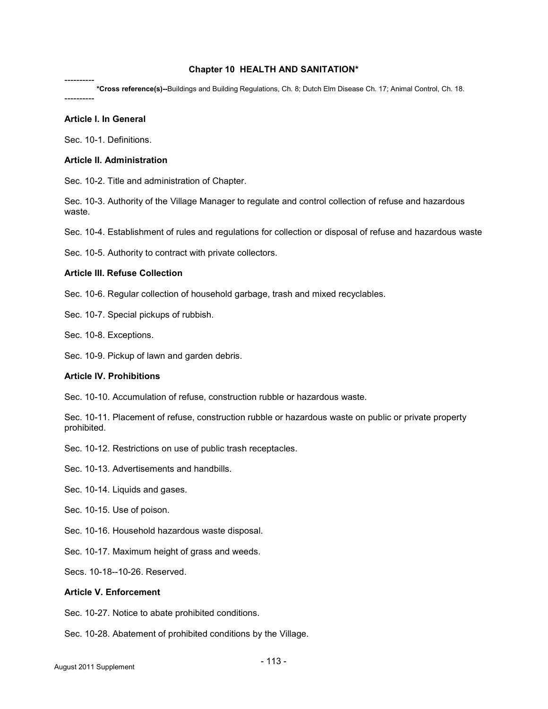## Chapter 10 HEALTH AND SANITATION\*

---------- \*Cross reference(s)--Buildings and Building Regulations, Ch. 8; Dutch Elm Disease Ch. 17; Animal Control, Ch. 18.

----------

# Article I. In General

Sec. 10-1. Definitions.

## Article II. Administration

Sec. 10-2. Title and administration of Chapter.

Sec. 10-3. Authority of the Village Manager to regulate and control collection of refuse and hazardous waste.

Sec. 10-4. Establishment of rules and regulations for collection or disposal of refuse and hazardous waste

Sec. 10-5. Authority to contract with private collectors.

## Article III. Refuse Collection

Sec. 10-6. Regular collection of household garbage, trash and mixed recyclables.

Sec. 10-7. Special pickups of rubbish.

Sec. 10-8. Exceptions.

Sec. 10-9. Pickup of lawn and garden debris.

#### Article IV. Prohibitions

Sec. 10-10. Accumulation of refuse, construction rubble or hazardous waste.

Sec. 10-11. Placement of refuse, construction rubble or hazardous waste on public or private property prohibited.

Sec. 10-12. Restrictions on use of public trash receptacles.

Sec. 10-13. Advertisements and handbills.

Sec. 10-14. Liquids and gases.

Sec. 10-15. Use of poison.

Sec. 10-16. Household hazardous waste disposal.

Sec. 10-17. Maximum height of grass and weeds.

Secs. 10-18--10-26. Reserved.

# Article V. Enforcement

Sec. 10-27. Notice to abate prohibited conditions.

Sec. 10-28. Abatement of prohibited conditions by the Village.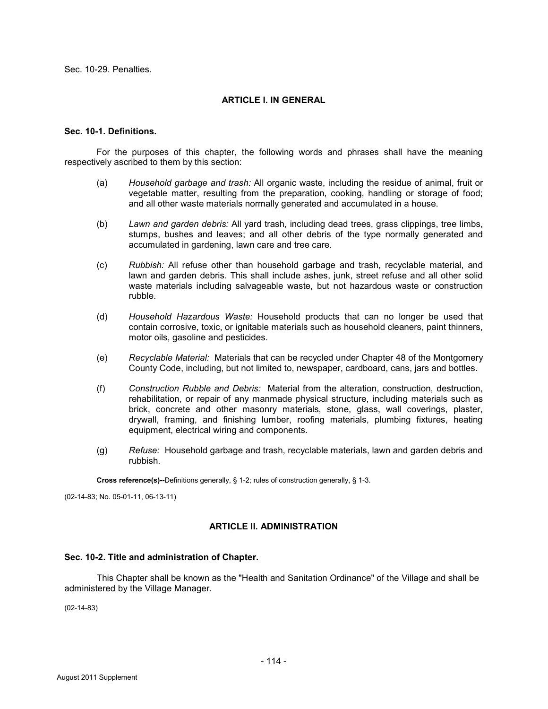Sec. 10-29. Penalties.

# ARTICLE I. IN GENERAL

## Sec. 10-1. Definitions.

 For the purposes of this chapter, the following words and phrases shall have the meaning respectively ascribed to them by this section:

- (a) Household garbage and trash: All organic waste, including the residue of animal, fruit or vegetable matter, resulting from the preparation, cooking, handling or storage of food; and all other waste materials normally generated and accumulated in a house.
- (b) Lawn and garden debris: All yard trash, including dead trees, grass clippings, tree limbs, stumps, bushes and leaves; and all other debris of the type normally generated and accumulated in gardening, lawn care and tree care.
- (c) Rubbish: All refuse other than household garbage and trash, recyclable material, and lawn and garden debris. This shall include ashes, junk, street refuse and all other solid waste materials including salvageable waste, but not hazardous waste or construction rubble.
- (d) Household Hazardous Waste: Household products that can no longer be used that contain corrosive, toxic, or ignitable materials such as household cleaners, paint thinners, motor oils, gasoline and pesticides.
- (e) Recyclable Material: Materials that can be recycled under Chapter 48 of the Montgomery County Code, including, but not limited to, newspaper, cardboard, cans, jars and bottles.
- (f) Construction Rubble and Debris: Material from the alteration, construction, destruction, rehabilitation, or repair of any manmade physical structure, including materials such as brick, concrete and other masonry materials, stone, glass, wall coverings, plaster, drywall, framing, and finishing lumber, roofing materials, plumbing fixtures, heating equipment, electrical wiring and components.
- (g) Refuse: Household garbage and trash, recyclable materials, lawn and garden debris and rubbish.

Cross reference(s)--Definitions generally, § 1-2; rules of construction generally, § 1-3.

(02-14-83; No. 05-01-11, 06-13-11)

## ARTICLE II. ADMINISTRATION

## Sec. 10-2. Title and administration of Chapter.

 This Chapter shall be known as the "Health and Sanitation Ordinance" of the Village and shall be administered by the Village Manager.

(02-14-83)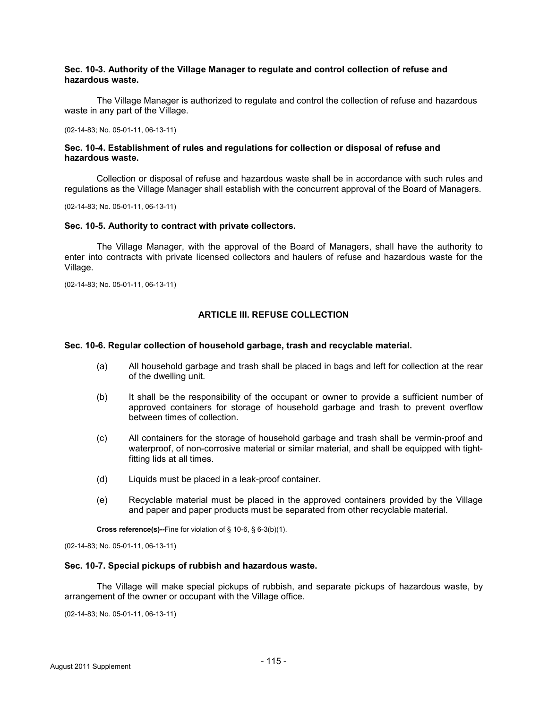## Sec. 10-3. Authority of the Village Manager to regulate and control collection of refuse and hazardous waste.

 The Village Manager is authorized to regulate and control the collection of refuse and hazardous waste in any part of the Village.

(02-14-83; No. 05-01-11, 06-13-11)

## Sec. 10-4. Establishment of rules and regulations for collection or disposal of refuse and hazardous waste.

 Collection or disposal of refuse and hazardous waste shall be in accordance with such rules and regulations as the Village Manager shall establish with the concurrent approval of the Board of Managers.

(02-14-83; No. 05-01-11, 06-13-11)

### Sec. 10-5. Authority to contract with private collectors.

 The Village Manager, with the approval of the Board of Managers, shall have the authority to enter into contracts with private licensed collectors and haulers of refuse and hazardous waste for the Village.

(02-14-83; No. 05-01-11, 06-13-11)

### ARTICLE III. REFUSE COLLECTION

### Sec. 10-6. Regular collection of household garbage, trash and recyclable material.

- (a) All household garbage and trash shall be placed in bags and left for collection at the rear of the dwelling unit.
- (b) It shall be the responsibility of the occupant or owner to provide a sufficient number of approved containers for storage of household garbage and trash to prevent overflow between times of collection.
- (c) All containers for the storage of household garbage and trash shall be vermin-proof and waterproof, of non-corrosive material or similar material, and shall be equipped with tightfitting lids at all times.
- (d) Liquids must be placed in a leak-proof container.
- (e) Recyclable material must be placed in the approved containers provided by the Village and paper and paper products must be separated from other recyclable material.

Cross reference(s)--Fine for violation of § 10-6, § 6-3(b)(1).

(02-14-83; No. 05-01-11, 06-13-11)

### Sec. 10-7. Special pickups of rubbish and hazardous waste.

 The Village will make special pickups of rubbish, and separate pickups of hazardous waste, by arrangement of the owner or occupant with the Village office.

(02-14-83; No. 05-01-11, 06-13-11)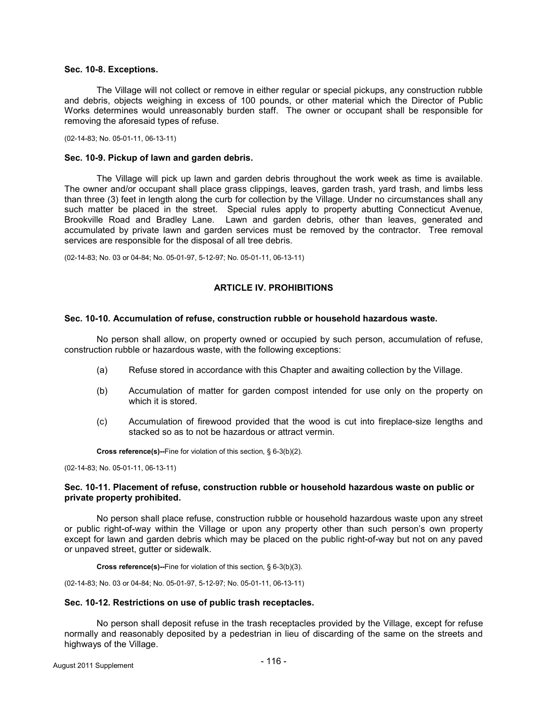### Sec. 10-8. Exceptions.

 The Village will not collect or remove in either regular or special pickups, any construction rubble and debris, objects weighing in excess of 100 pounds, or other material which the Director of Public Works determines would unreasonably burden staff. The owner or occupant shall be responsible for removing the aforesaid types of refuse.

(02-14-83; No. 05-01-11, 06-13-11)

### Sec. 10-9. Pickup of lawn and garden debris.

 The Village will pick up lawn and garden debris throughout the work week as time is available. The owner and/or occupant shall place grass clippings, leaves, garden trash, yard trash, and limbs less than three (3) feet in length along the curb for collection by the Village. Under no circumstances shall any such matter be placed in the street. Special rules apply to property abutting Connecticut Avenue, Brookville Road and Bradley Lane. Lawn and garden debris, other than leaves, generated and accumulated by private lawn and garden services must be removed by the contractor. Tree removal services are responsible for the disposal of all tree debris.

(02-14-83; No. 03 or 04-84; No. 05-01-97, 5-12-97; No. 05-01-11, 06-13-11)

# ARTICLE IV. PROHIBITIONS

#### Sec. 10-10. Accumulation of refuse, construction rubble or household hazardous waste.

 No person shall allow, on property owned or occupied by such person, accumulation of refuse, construction rubble or hazardous waste, with the following exceptions:

- (a) Refuse stored in accordance with this Chapter and awaiting collection by the Village.
- (b) Accumulation of matter for garden compost intended for use only on the property on which it is stored.
- (c) Accumulation of firewood provided that the wood is cut into fireplace-size lengths and stacked so as to not be hazardous or attract vermin.

Cross reference(s)--Fine for violation of this section, § 6-3(b)(2).

(02-14-83; No. 05-01-11, 06-13-11)

## Sec. 10-11. Placement of refuse, construction rubble or household hazardous waste on public or private property prohibited.

 No person shall place refuse, construction rubble or household hazardous waste upon any street or public right-of-way within the Village or upon any property other than such person's own property except for lawn and garden debris which may be placed on the public right-of-way but not on any paved or unpaved street, gutter or sidewalk.

Cross reference(s)--Fine for violation of this section, § 6-3(b)(3).

(02-14-83; No. 03 or 04-84; No. 05-01-97, 5-12-97; No. 05-01-11, 06-13-11)

#### Sec. 10-12. Restrictions on use of public trash receptacles.

 No person shall deposit refuse in the trash receptacles provided by the Village, except for refuse normally and reasonably deposited by a pedestrian in lieu of discarding of the same on the streets and highways of the Village.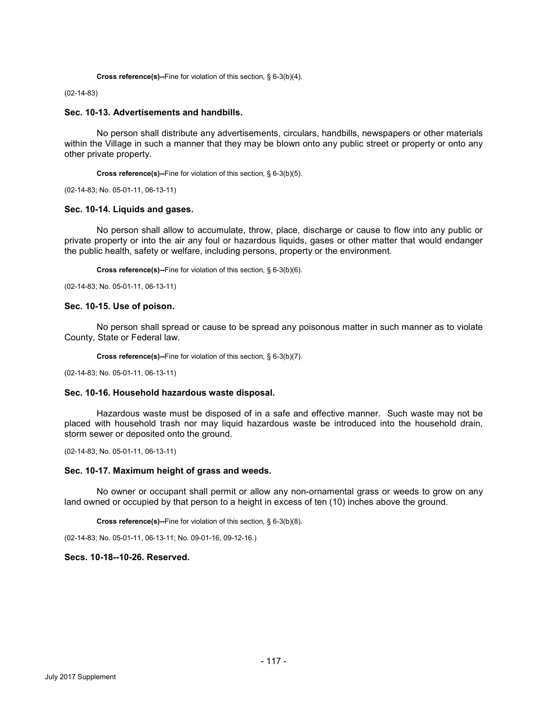```
 Cross reference(s)--Fine for violation of this section, § 6-3(b)(4).
```
### (02-14-83)

### Sec. 10-13. Advertisements and handbills.

 No person shall distribute any advertisements, circulars, handbills, newspapers or other materials within the Village in such a manner that they may be blown onto any public street or property or onto any other private property.

Cross reference(s)--Fine for violation of this section, § 6-3(b)(5).

(02-14-83; No. 05-01-11, 06-13-11)

### Sec. 10-14. Liquids and gases.

 No person shall allow to accumulate, throw, place, discharge or cause to flow into any public or private property or into the air any foul or hazardous liquids, gases or other matter that would endanger the public health, safety or welfare, including persons, property or the environment.

Cross reference(s)--Fine for violation of this section, § 6-3(b)(6).

(02-14-83; No. 05-01-11, 06-13-11)

### Sec. 10-15. Use of poison.

 No person shall spread or cause to be spread any poisonous matter in such manner as to violate County, State or Federal law.

Cross reference(s)--Fine for violation of this section, § 6-3(b)(7).

(02-14-83; No. 05-01-11, 06-13-11)

### Sec. 10-16. Household hazardous waste disposal.

Hazardous waste must be disposed of in a safe and effective manner. Such waste may not be placed with household trash nor may liquid hazardous waste be introduced into the household drain, storm sewer or deposited onto the ground.

(02-14-83; No. 05-01-11, 06-13-11)

#### Sec. 10-17. Maximum height of grass and weeds.

 No owner or occupant shall permit or allow any non-ornamental grass or weeds to grow on any land owned or occupied by that person to a height in excess of ten (10) inches above the ground.

Cross reference(s)--Fine for violation of this section, § 6-3(b)(8).

(02-14-83; No. 05-01-11, 06-13-11; No. 09-01-16, 09-12-16.)

## Secs. 10-18--10-26. Reserved.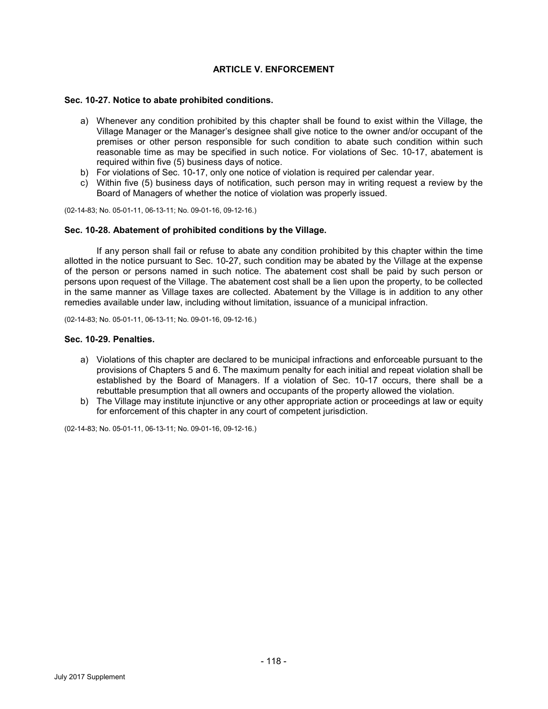# ARTICLE V. ENFORCEMENT

## Sec. 10-27. Notice to abate prohibited conditions.

- a) Whenever any condition prohibited by this chapter shall be found to exist within the Village, the Village Manager or the Manager's designee shall give notice to the owner and/or occupant of the premises or other person responsible for such condition to abate such condition within such reasonable time as may be specified in such notice. For violations of Sec. 10-17, abatement is required within five (5) business days of notice.
- b) For violations of Sec. 10-17, only one notice of violation is required per calendar year.
- c) Within five (5) business days of notification, such person may in writing request a review by the Board of Managers of whether the notice of violation was properly issued.

(02-14-83; No. 05-01-11, 06-13-11; No. 09-01-16, 09-12-16.)

### Sec. 10-28. Abatement of prohibited conditions by the Village.

 If any person shall fail or refuse to abate any condition prohibited by this chapter within the time allotted in the notice pursuant to Sec. 10-27, such condition may be abated by the Village at the expense of the person or persons named in such notice. The abatement cost shall be paid by such person or persons upon request of the Village. The abatement cost shall be a lien upon the property, to be collected in the same manner as Village taxes are collected. Abatement by the Village is in addition to any other remedies available under law, including without limitation, issuance of a municipal infraction.

(02-14-83; No. 05-01-11, 06-13-11; No. 09-01-16, 09-12-16.)

## Sec. 10-29. Penalties.

- a) Violations of this chapter are declared to be municipal infractions and enforceable pursuant to the provisions of Chapters 5 and 6. The maximum penalty for each initial and repeat violation shall be established by the Board of Managers. If a violation of Sec. 10-17 occurs, there shall be a rebuttable presumption that all owners and occupants of the property allowed the violation.
- b) The Village may institute injunctive or any other appropriate action or proceedings at law or equity for enforcement of this chapter in any court of competent jurisdiction.

(02-14-83; No. 05-01-11, 06-13-11; No. 09-01-16, 09-12-16.)